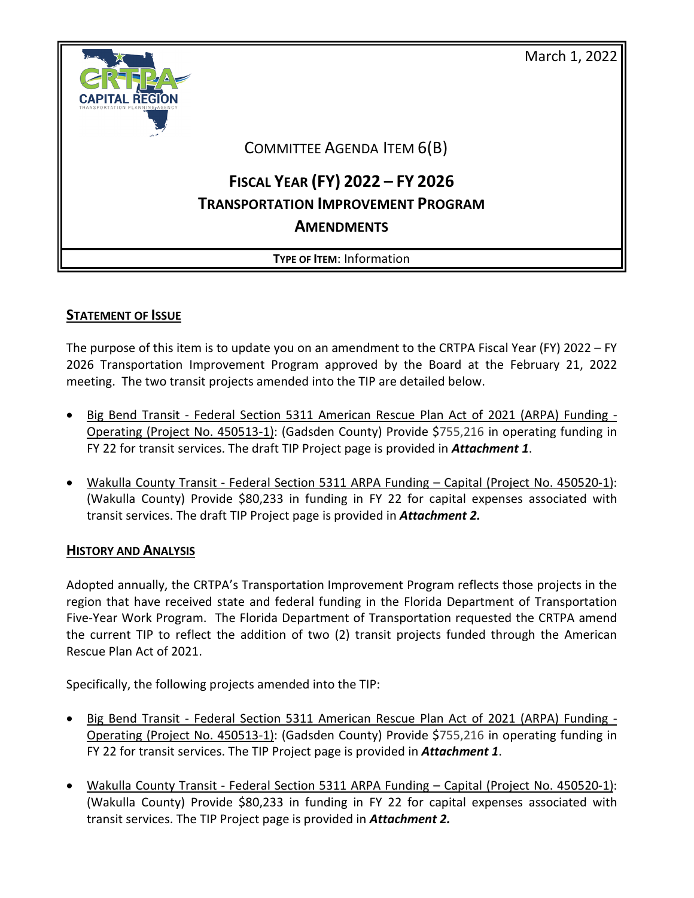

## **STATEMENT OF ISSUE**

The purpose of this item is to update you on an amendment to the CRTPA Fiscal Year (FY) 2022 – FY 2026 Transportation Improvement Program approved by the Board at the February 21, 2022 meeting. The two transit projects amended into the TIP are detailed below.

- Big Bend Transit Federal Section 5311 American Rescue Plan Act of 2021 (ARPA) Funding Operating (Project No. 450513-1): (Gadsden County) Provide \$755,216 in operating funding in FY 22 for transit services. The draft TIP Project page is provided in *Attachment 1*.
- Wakulla County Transit Federal Section 5311 ARPA Funding Capital (Project No. 450520-1): (Wakulla County) Provide \$80,233 in funding in FY 22 for capital expenses associated with transit services. The draft TIP Project page is provided in *Attachment 2.*

## **HISTORY AND ANALYSIS**

Adopted annually, the CRTPA's Transportation Improvement Program reflects those projects in the region that have received state and federal funding in the Florida Department of Transportation Five-Year Work Program. The Florida Department of Transportation requested the CRTPA amend the current TIP to reflect the addition of two (2) transit projects funded through the American Rescue Plan Act of 2021.

Specifically, the following projects were amended into the TIP:

- Big Bend Transit Federal Section 5311 American Rescue Plan Act of 2021 (ARPA) Funding Operating (Project No. 450513-1): (Gadsden County) Provide \$755,216 in operating funding in FY 22 for transit services. The TIP Project page is provided in *Attachment 1*.
- Wakulla County Transit Federal Section 5311 ARPA Funding Capital (Project No. 450520-1): (Wakulla County) Provide \$80,233 in funding in FY 22 for capital expenses associated with transit services. The TIP Project page is provided in *Attachment 2.*